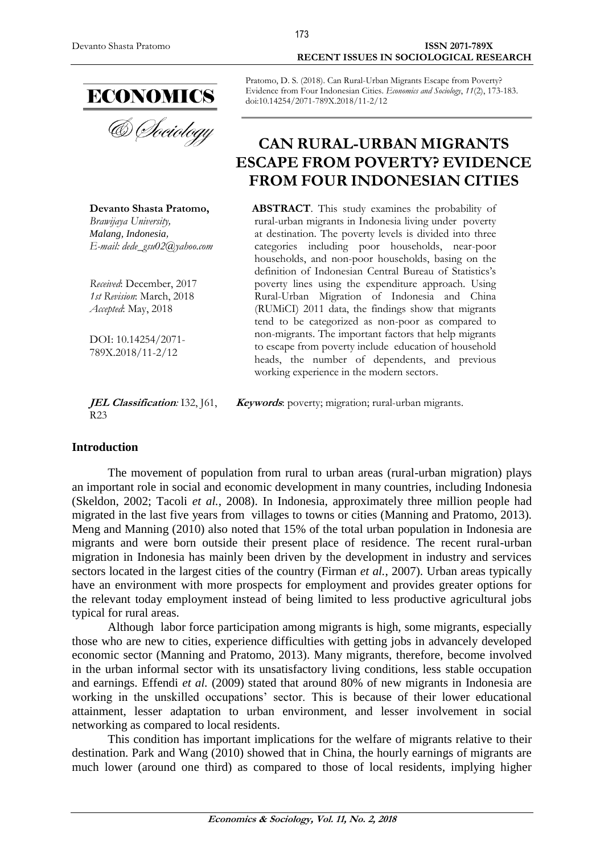#### Devanto Shasta Pratomo **ISSN 2071-789X RECENT ISSUES IN SOCIOLOGICAL RESEARCH**



& *Choiology* 

**Devanto Shasta Pratomo,** *Brawijaya University, Malang, Indonesia, E-mail: dede\_gsu02@yahoo.com*

*Received*: December, 2017 *1st Revision*: March, 2018 *Accepted*: May, 2018

DOI: 10.14254/2071- 789X.2018/11-2/12

**JEL Classification***:* I32, J61, R23

Pratomo, D. S. (2018). Can Rural-Urban Migrants Escape from Poverty? Evidence from Four Indonesian Cities. *Economics and Sociology*, *11*(2), 173-183. doi:10.14254/2071-789X.2018/11-2/12

# **CAN RURAL-URBAN MIGRANTS ESCAPE FROM POVERTY? EVIDENCE FROM FOUR INDONESIAN CITIES**

**ABSTRACT**. This study examines the probability of rural-urban migrants in Indonesia living under poverty at destination. The poverty levels is divided into three categories including poor households, near-poor households, and non-poor households, basing on the definition of Indonesian Central Bureau of Statistics's poverty lines using the expenditure approach. Using Rural-Urban Migration of Indonesia and China (RUMiCI) 2011 data, the findings show that migrants tend to be categorized as non-poor as compared to non-migrants. The important factors that help migrants to escape from poverty include education of household heads, the number of dependents, and previous working experience in the modern sectors.

**Keywords**: poverty; migration; rural-urban migrants.

### **Introduction**

The movement of population from rural to urban areas (rural-urban migration) plays an important role in social and economic development in many countries, including Indonesia (Skeldon, 2002; Tacoli *et al.*, 2008). In Indonesia, approximately three million people had migrated in the last five years from villages to towns or cities (Manning and Pratomo, 2013). Meng and Manning (2010) also noted that 15% of the total urban population in Indonesia are migrants and were born outside their present place of residence. The recent rural-urban migration in Indonesia has mainly been driven by the development in industry and services sectors located in the largest cities of the country (Firman *et al.*, 2007). Urban areas typically have an environment with more prospects for employment and provides greater options for the relevant today employment instead of being limited to less productive agricultural jobs typical for rural areas.

Although labor force participation among migrants is high, some migrants, especially those who are new to cities, experience difficulties with getting jobs in advancely developed economic sector (Manning and Pratomo, 2013). Many migrants, therefore, become involved in the urban informal sector with its unsatisfactory living conditions, less stable occupation and earnings. Effendi *et al.* (2009) stated that around 80% of new migrants in Indonesia are working in the unskilled occupations' sector. This is because of their lower educational attainment, lesser adaptation to urban environment, and lesser involvement in social networking as compared to local residents.

This condition has important implications for the welfare of migrants relative to their destination. Park and Wang (2010) showed that in China, the hourly earnings of migrants are much lower (around one third) as compared to those of local residents, implying higher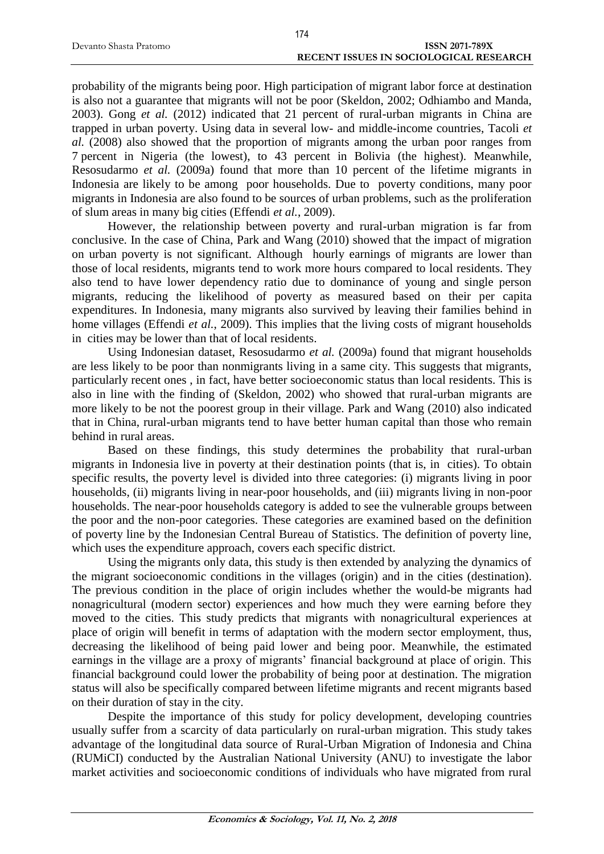|                        | 174                                           |
|------------------------|-----------------------------------------------|
| Devanto Shasta Pratomo | <b>ISSN 2071-789X</b>                         |
|                        | <b>RECENT ISSUES IN SOCIOLOGICAL RESEARCH</b> |

probability of the migrants being poor. High participation of migrant labor force at destination is also not a guarantee that migrants will not be poor (Skeldon, 2002; Odhiambo and Manda, 2003). Gong *et al.* (2012) indicated that 21 percent of rural-urban migrants in China are trapped in urban poverty. Using data in several low- and middle-income countries, Tacoli *et al.* (2008) also showed that the proportion of migrants among the urban poor ranges from 7 percent in Nigeria (the lowest), to 43 percent in Bolivia (the highest). Meanwhile, Resosudarmo *et al.* (2009a) found that more than 10 percent of the lifetime migrants in Indonesia are likely to be among poor households. Due to poverty conditions, many poor migrants in Indonesia are also found to be sources of urban problems, such as the proliferation of slum areas in many big cities (Effendi *et al.*, 2009).

However, the relationship between poverty and rural-urban migration is far from conclusive. In the case of China, Park and Wang (2010) showed that the impact of migration on urban poverty is not significant. Although hourly earnings of migrants are lower than those of local residents, migrants tend to work more hours compared to local residents. They also tend to have lower dependency ratio due to dominance of young and single person migrants, reducing the likelihood of poverty as measured based on their per capita expenditures. In Indonesia, many migrants also survived by leaving their families behind in home villages (Effendi *et al.*, 2009). This implies that the living costs of migrant households in cities may be lower than that of local residents.

Using Indonesian dataset, Resosudarmo *et al.* (2009a) found that migrant households are less likely to be poor than nonmigrants living in a same city. This suggests that migrants, particularly recent ones , in fact, have better socioeconomic status than local residents. This is also in line with the finding of (Skeldon, 2002) who showed that rural-urban migrants are more likely to be not the poorest group in their village. Park and Wang (2010) also indicated that in China, rural-urban migrants tend to have better human capital than those who remain behind in rural areas.

Based on these findings, this study determines the probability that rural-urban migrants in Indonesia live in poverty at their destination points (that is, in cities). To obtain specific results, the poverty level is divided into three categories: (i) migrants living in poor households, (ii) migrants living in near-poor households, and (iii) migrants living in non-poor households. The near-poor households category is added to see the vulnerable groups between the poor and the non-poor categories. These categories are examined based on the definition of poverty line by the Indonesian Central Bureau of Statistics. The definition of poverty line, which uses the expenditure approach, covers each specific district.

Using the migrants only data, this study is then extended by analyzing the dynamics of the migrant socioeconomic conditions in the villages (origin) and in the cities (destination). The previous condition in the place of origin includes whether the would-be migrants had nonagricultural (modern sector) experiences and how much they were earning before they moved to the cities. This study predicts that migrants with nonagricultural experiences at place of origin will benefit in terms of adaptation with the modern sector employment, thus, decreasing the likelihood of being paid lower and being poor. Meanwhile, the estimated earnings in the village are a proxy of migrants' financial background at place of origin. This financial background could lower the probability of being poor at destination. The migration status will also be specifically compared between lifetime migrants and recent migrants based on their duration of stay in the city.

Despite the importance of this study for policy development, developing countries usually suffer from a scarcity of data particularly on rural-urban migration. This study takes advantage of the longitudinal data source of Rural-Urban Migration of Indonesia and China (RUMiCI) conducted by the Australian National University (ANU) to investigate the labor market activities and socioeconomic conditions of individuals who have migrated from rural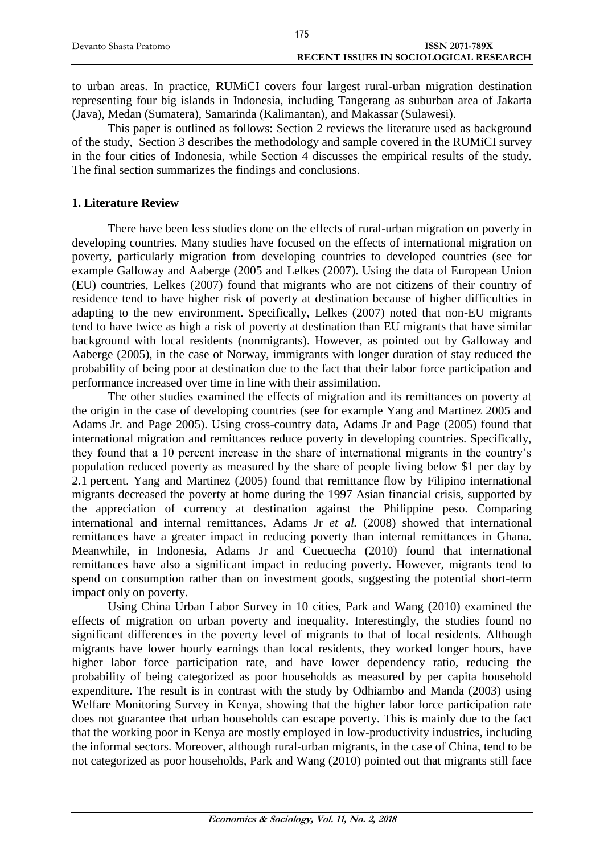|                        | 175                                           |
|------------------------|-----------------------------------------------|
| Devanto Shasta Pratomo | <b>ISSN 2071-789X</b>                         |
|                        | <b>RECENT ISSUES IN SOCIOLOGICAL RESEARCH</b> |

to urban areas. In practice, RUMiCI covers four largest rural-urban migration destination representing four big islands in Indonesia, including Tangerang as suburban area of Jakarta (Java), Medan (Sumatera), Samarinda (Kalimantan), and Makassar (Sulawesi).

This paper is outlined as follows: Section 2 reviews the literature used as background of the study, Section 3 describes the methodology and sample covered in the RUMiCI survey in the four cities of Indonesia, while Section 4 discusses the empirical results of the study. The final section summarizes the findings and conclusions.

## **1. Literature Review**

There have been less studies done on the effects of rural-urban migration on poverty in developing countries. Many studies have focused on the effects of international migration on poverty, particularly migration from developing countries to developed countries (see for example Galloway and Aaberge (2005 and Lelkes (2007). Using the data of European Union (EU) countries, Lelkes (2007) found that migrants who are not citizens of their country of residence tend to have higher risk of poverty at destination because of higher difficulties in adapting to the new environment. Specifically, Lelkes (2007) noted that non-EU migrants tend to have twice as high a risk of poverty at destination than EU migrants that have similar background with local residents (nonmigrants). However, as pointed out by Galloway and Aaberge (2005), in the case of Norway, immigrants with longer duration of stay reduced the probability of being poor at destination due to the fact that their labor force participation and performance increased over time in line with their assimilation.

The other studies examined the effects of migration and its remittances on poverty at the origin in the case of developing countries (see for example Yang and Martinez 2005 and Adams Jr. and Page 2005). Using cross-country data, Adams Jr and Page (2005) found that international migration and remittances reduce poverty in developing countries. Specifically, they found that a 10 percent increase in the share of international migrants in the country's population reduced poverty as measured by the share of people living below \$1 per day by 2.1 percent. Yang and Martinez (2005) found that remittance flow by Filipino international migrants decreased the poverty at home during the 1997 Asian financial crisis, supported by the appreciation of currency at destination against the Philippine peso. Comparing international and internal remittances, Adams Jr *et al.* (2008) showed that international remittances have a greater impact in reducing poverty than internal remittances in Ghana. Meanwhile, in Indonesia, Adams Jr and Cuecuecha (2010) found that international remittances have also a significant impact in reducing poverty. However, migrants tend to spend on consumption rather than on investment goods, suggesting the potential short-term impact only on poverty.

Using China Urban Labor Survey in 10 cities, Park and Wang (2010) examined the effects of migration on urban poverty and inequality. Interestingly, the studies found no significant differences in the poverty level of migrants to that of local residents. Although migrants have lower hourly earnings than local residents, they worked longer hours, have higher labor force participation rate, and have lower dependency ratio, reducing the probability of being categorized as poor households as measured by per capita household expenditure. The result is in contrast with the study by Odhiambo and Manda (2003) using Welfare Monitoring Survey in Kenya, showing that the higher labor force participation rate does not guarantee that urban households can escape poverty. This is mainly due to the fact that the working poor in Kenya are mostly employed in low-productivity industries, including the informal sectors. Moreover, although rural-urban migrants, in the case of China, tend to be not categorized as poor households, Park and Wang (2010) pointed out that migrants still face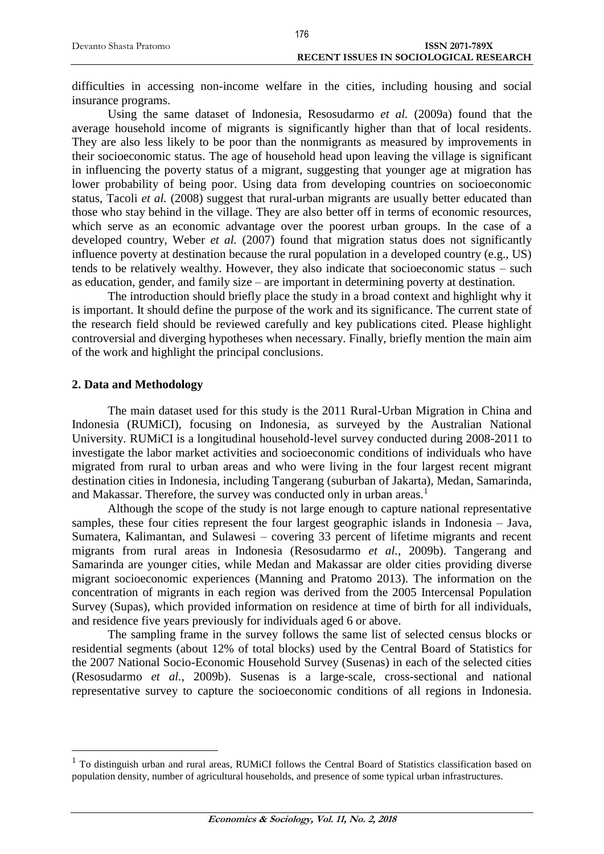difficulties in accessing non-income welfare in the cities, including housing and social insurance programs.

Using the same dataset of Indonesia, Resosudarmo *et al.* (2009a) found that the average household income of migrants is significantly higher than that of local residents. They are also less likely to be poor than the nonmigrants as measured by improvements in their socioeconomic status. The age of household head upon leaving the village is significant in influencing the poverty status of a migrant, suggesting that younger age at migration has lower probability of being poor. Using data from developing countries on socioeconomic status, Tacoli *et al.* (2008) suggest that rural-urban migrants are usually better educated than those who stay behind in the village. They are also better off in terms of economic resources, which serve as an economic advantage over the poorest urban groups. In the case of a developed country, Weber *et al.* (2007) found that migration status does not significantly influence poverty at destination because the rural population in a developed country (e.g., US) tends to be relatively wealthy. However, they also indicate that socioeconomic status – such as education, gender, and family size – are important in determining poverty at destination.

The introduction should briefly place the study in a broad context and highlight why it is important. It should define the purpose of the work and its significance. The current state of the research field should be reviewed carefully and key publications cited. Please highlight controversial and diverging hypotheses when necessary. Finally, briefly mention the main aim of the work and highlight the principal conclusions.

### **2. Data and Methodology**

 $\overline{a}$ 

The main dataset used for this study is the 2011 Rural-Urban Migration in China and Indonesia (RUMiCI), focusing on Indonesia, as surveyed by the Australian National University. RUMiCI is a longitudinal household-level survey conducted during 2008-2011 to investigate the labor market activities and socioeconomic conditions of individuals who have migrated from rural to urban areas and who were living in the four largest recent migrant destination cities in Indonesia, including Tangerang (suburban of Jakarta), Medan, Samarinda, and Makassar. Therefore, the survey was conducted only in urban areas.<sup>1</sup>

Although the scope of the study is not large enough to capture national representative samples, these four cities represent the four largest geographic islands in Indonesia – Java, Sumatera, Kalimantan, and Sulawesi – covering 33 percent of lifetime migrants and recent migrants from rural areas in Indonesia (Resosudarmo *et al.*, 2009b). Tangerang and Samarinda are younger cities, while Medan and Makassar are older cities providing diverse migrant socioeconomic experiences (Manning and Pratomo 2013). The information on the concentration of migrants in each region was derived from the 2005 Intercensal Population Survey (Supas), which provided information on residence at time of birth for all individuals, and residence five years previously for individuals aged 6 or above.

The sampling frame in the survey follows the same list of selected census blocks or residential segments (about 12% of total blocks) used by the Central Board of Statistics for the 2007 National Socio-Economic Household Survey (Susenas) in each of the selected cities (Resosudarmo *et al.*, 2009b). Susenas is a large-scale, cross-sectional and national representative survey to capture the socioeconomic conditions of all regions in Indonesia.

<sup>&</sup>lt;sup>1</sup> To distinguish urban and rural areas, RUMiCI follows the Central Board of Statistics classification based on population density, number of agricultural households, and presence of some typical urban infrastructures.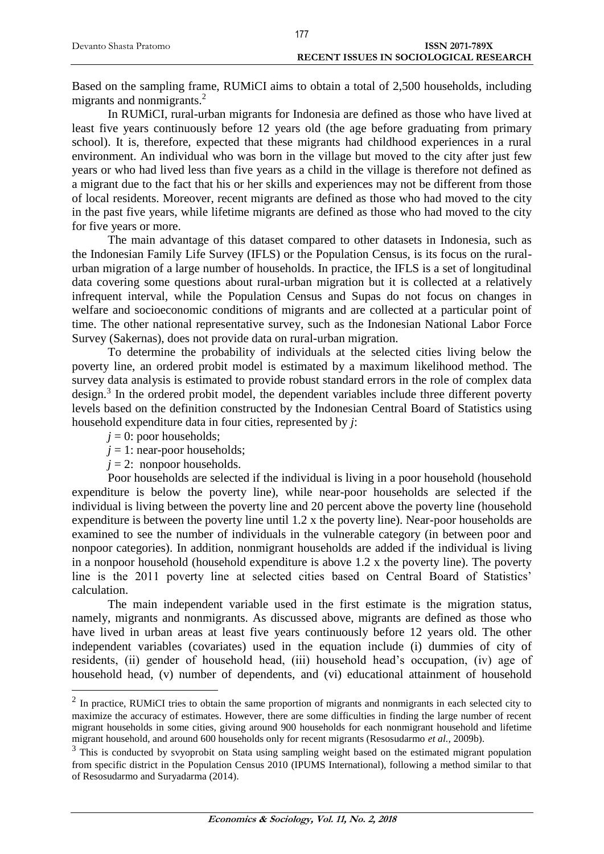| Devanto Shasta Pratomo | <b>ISSN 2071-789X</b>                  |
|------------------------|----------------------------------------|
|                        | RECENT ISSUES IN SOCIOLOGICAL RESEARCH |
|                        |                                        |

177

Based on the sampling frame, RUMiCI aims to obtain a total of 2,500 households, including migrants and nonmigrants.<sup>2</sup>

In RUMiCI, rural-urban migrants for Indonesia are defined as those who have lived at least five years continuously before 12 years old (the age before graduating from primary school). It is, therefore, expected that these migrants had childhood experiences in a rural environment. An individual who was born in the village but moved to the city after just few years or who had lived less than five years as a child in the village is therefore not defined as a migrant due to the fact that his or her skills and experiences may not be different from those of local residents. Moreover, recent migrants are defined as those who had moved to the city in the past five years, while lifetime migrants are defined as those who had moved to the city for five years or more.

The main advantage of this dataset compared to other datasets in Indonesia, such as the Indonesian Family Life Survey (IFLS) or the Population Census, is its focus on the ruralurban migration of a large number of households. In practice, the IFLS is a set of longitudinal data covering some questions about rural-urban migration but it is collected at a relatively infrequent interval, while the Population Census and Supas do not focus on changes in welfare and socioeconomic conditions of migrants and are collected at a particular point of time. The other national representative survey, such as the Indonesian National Labor Force Survey (Sakernas), does not provide data on rural-urban migration.

To determine the probability of individuals at the selected cities living below the poverty line, an ordered probit model is estimated by a maximum likelihood method. The survey data analysis is estimated to provide robust standard errors in the role of complex data design.<sup>3</sup> In the ordered probit model, the dependent variables include three different poverty levels based on the definition constructed by the Indonesian Central Board of Statistics using household expenditure data in four cities, represented by *j*:

 $j = 0$ : poor households;

 $\overline{a}$ 

- $j = 1$ : near-poor households;
- $j = 2$ : nonpoor households.

Poor households are selected if the individual is living in a poor household (household expenditure is below the poverty line), while near-poor households are selected if the individual is living between the poverty line and 20 percent above the poverty line (household expenditure is between the poverty line until 1.2 x the poverty line). Near-poor households are examined to see the number of individuals in the vulnerable category (in between poor and nonpoor categories). In addition, nonmigrant households are added if the individual is living in a nonpoor household (household expenditure is above 1.2 x the poverty line). The poverty line is the 2011 poverty line at selected cities based on Central Board of Statistics' calculation.

The main independent variable used in the first estimate is the migration status, namely, migrants and nonmigrants. As discussed above, migrants are defined as those who have lived in urban areas at least five years continuously before 12 years old. The other independent variables (covariates) used in the equation include (i) dummies of city of residents, (ii) gender of household head, (iii) household head's occupation, (iv) age of household head, (v) number of dependents, and (vi) educational attainment of household

 $2$  In practice, RUMiCI tries to obtain the same proportion of migrants and nonmigrants in each selected city to maximize the accuracy of estimates. However, there are some difficulties in finding the large number of recent migrant households in some cities, giving around 900 households for each nonmigrant household and lifetime migrant household, and around 600 households only for recent migrants (Resosudarmo *et al.*, 2009b).

<sup>&</sup>lt;sup>3</sup> This is conducted by svyoprobit on Stata using sampling weight based on the estimated migrant population from specific district in the Population Census 2010 (IPUMS International), following a method similar to that of Resosudarmo and Suryadarma (2014).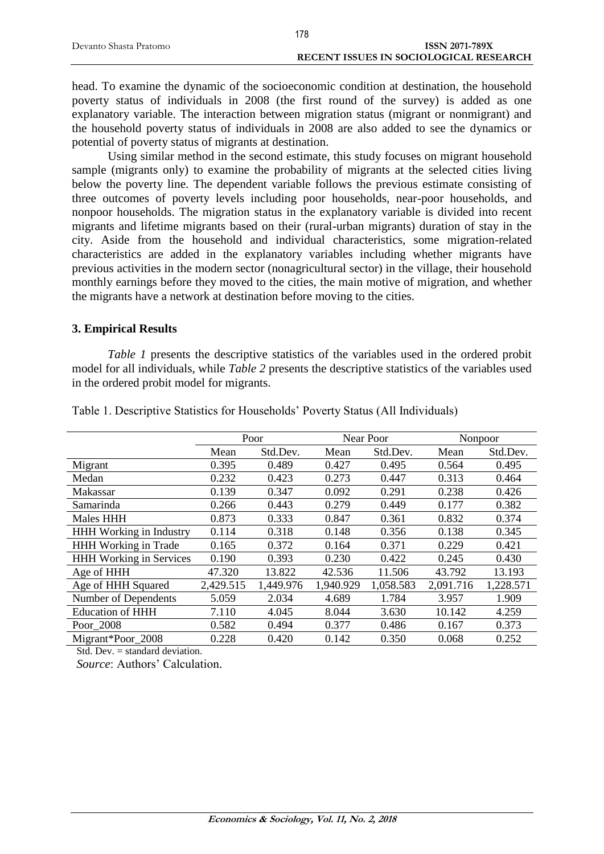|                        | .                                             |
|------------------------|-----------------------------------------------|
| Devanto Shasta Pratomo | <b>ISSN 2071-789X</b>                         |
|                        | <b>RECENT ISSUES IN SOCIOLOGICAL RESEARCH</b> |
|                        |                                               |

head. To examine the dynamic of the socioeconomic condition at destination, the household poverty status of individuals in 2008 (the first round of the survey) is added as one explanatory variable. The interaction between migration status (migrant or nonmigrant) and the household poverty status of individuals in 2008 are also added to see the dynamics or potential of poverty status of migrants at destination.

Using similar method in the second estimate, this study focuses on migrant household sample (migrants only) to examine the probability of migrants at the selected cities living below the poverty line. The dependent variable follows the previous estimate consisting of three outcomes of poverty levels including poor households, near-poor households, and nonpoor households. The migration status in the explanatory variable is divided into recent migrants and lifetime migrants based on their (rural-urban migrants) duration of stay in the city. Aside from the household and individual characteristics, some migration-related characteristics are added in the explanatory variables including whether migrants have previous activities in the modern sector (nonagricultural sector) in the village, their household monthly earnings before they moved to the cities, the main motive of migration, and whether the migrants have a network at destination before moving to the cities.

#### **3. Empirical Results**

*Table 1* presents the descriptive statistics of the variables used in the ordered probit model for all individuals, while *Table 2* presents the descriptive statistics of the variables used in the ordered probit model for migrants.

|                                | Poor      |           | Near Poor |           | Nonpoor   |           |
|--------------------------------|-----------|-----------|-----------|-----------|-----------|-----------|
|                                | Mean      | Std.Dev.  | Mean      | Std.Dev.  | Mean      | Std.Dev.  |
| Migrant                        | 0.395     | 0.489     | 0.427     | 0.495     | 0.564     | 0.495     |
| Medan                          | 0.232     | 0.423     | 0.273     | 0.447     | 0.313     | 0.464     |
| Makassar                       | 0.139     | 0.347     | 0.092     | 0.291     | 0.238     | 0.426     |
| Samarinda                      | 0.266     | 0.443     | 0.279     | 0.449     | 0.177     | 0.382     |
| Males HHH                      | 0.873     | 0.333     | 0.847     | 0.361     | 0.832     | 0.374     |
| <b>HHH Working in Industry</b> | 0.114     | 0.318     | 0.148     | 0.356     | 0.138     | 0.345     |
| HHH Working in Trade           | 0.165     | 0.372     | 0.164     | 0.371     | 0.229     | 0.421     |
| <b>HHH Working in Services</b> | 0.190     | 0.393     | 0.230     | 0.422     | 0.245     | 0.430     |
| Age of HHH                     | 47.320    | 13.822    | 42.536    | 11.506    | 43.792    | 13.193    |
| Age of HHH Squared             | 2,429.515 | 1,449.976 | 1,940.929 | 1,058.583 | 2,091.716 | 1,228.571 |
| Number of Dependents           | 5.059     | 2.034     | 4.689     | 1.784     | 3.957     | 1.909     |
| <b>Education of HHH</b>        | 7.110     | 4.045     | 8.044     | 3.630     | 10.142    | 4.259     |
| Poor_2008                      | 0.582     | 0.494     | 0.377     | 0.486     | 0.167     | 0.373     |
| Migrant*Poor 2008              | 0.228     | 0.420     | 0.142     | 0.350     | 0.068     | 0.252     |

Table 1. Descriptive Statistics for Households' Poverty Status (All Individuals)

Std. Dev. = standard deviation.

*Source*: Authors' Calculation.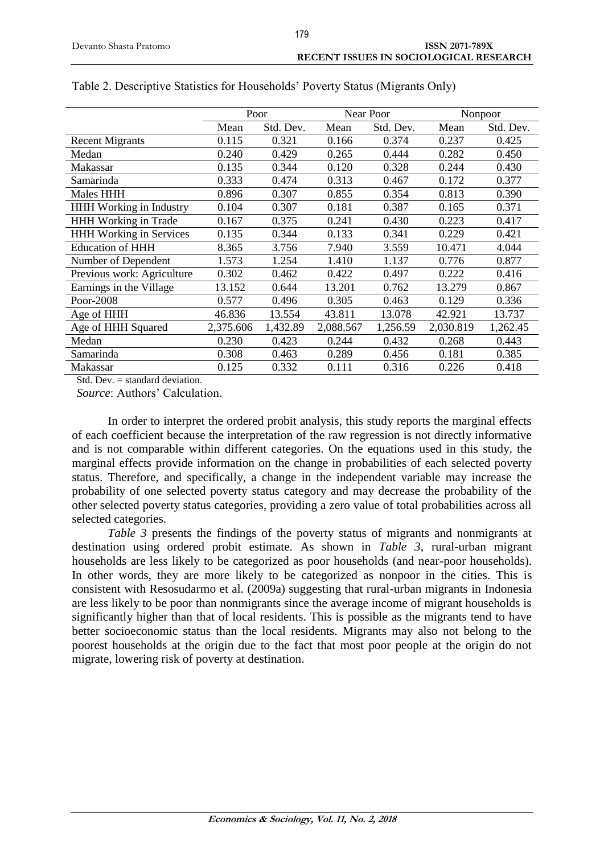|                                | Poor      |           |           | Near Poor |           | Nonpoor   |  |
|--------------------------------|-----------|-----------|-----------|-----------|-----------|-----------|--|
|                                | Mean      | Std. Dev. | Mean      | Std. Dev. | Mean      | Std. Dev. |  |
| <b>Recent Migrants</b>         | 0.115     | 0.321     | 0.166     | 0.374     | 0.237     | 0.425     |  |
| Medan                          | 0.240     | 0.429     | 0.265     | 0.444     | 0.282     | 0.450     |  |
| Makassar                       | 0.135     | 0.344     | 0.120     | 0.328     | 0.244     | 0.430     |  |
| Samarinda                      | 0.333     | 0.474     | 0.313     | 0.467     | 0.172     | 0.377     |  |
| Males HHH                      | 0.896     | 0.307     | 0.855     | 0.354     | 0.813     | 0.390     |  |
| <b>HHH Working in Industry</b> | 0.104     | 0.307     | 0.181     | 0.387     | 0.165     | 0.371     |  |
| HHH Working in Trade           | 0.167     | 0.375     | 0.241     | 0.430     | 0.223     | 0.417     |  |
| <b>HHH Working in Services</b> | 0.135     | 0.344     | 0.133     | 0.341     | 0.229     | 0.421     |  |
| <b>Education of HHH</b>        | 8.365     | 3.756     | 7.940     | 3.559     | 10.471    | 4.044     |  |
| Number of Dependent            | 1.573     | 1.254     | 1.410     | 1.137     | 0.776     | 0.877     |  |
| Previous work: Agriculture     | 0.302     | 0.462     | 0.422     | 0.497     | 0.222     | 0.416     |  |
| Earnings in the Village        | 13.152    | 0.644     | 13.201    | 0.762     | 13.279    | 0.867     |  |
| Poor-2008                      | 0.577     | 0.496     | 0.305     | 0.463     | 0.129     | 0.336     |  |
| Age of HHH                     | 46.836    | 13.554    | 43.811    | 13.078    | 42.921    | 13.737    |  |
| Age of HHH Squared             | 2,375.606 | 1,432.89  | 2,088.567 | 1,256.59  | 2,030.819 | 1,262.45  |  |
| Medan                          | 0.230     | 0.423     | 0.244     | 0.432     | 0.268     | 0.443     |  |
| Samarinda                      | 0.308     | 0.463     | 0.289     | 0.456     | 0.181     | 0.385     |  |
| Makassar                       | 0.125     | 0.332     | 0.111     | 0.316     | 0.226     | 0.418     |  |

|  | Table 2. Descriptive Statistics for Households' Poverty Status (Migrants Only) |  |  |
|--|--------------------------------------------------------------------------------|--|--|
|  |                                                                                |  |  |

Std. Dev.  $=$  standard deviation.

*Source*: Authors' Calculation.

In order to interpret the ordered probit analysis, this study reports the marginal effects of each coefficient because the interpretation of the raw regression is not directly informative and is not comparable within different categories. On the equations used in this study, the marginal effects provide information on the change in probabilities of each selected poverty status. Therefore, and specifically, a change in the independent variable may increase the probability of one selected poverty status category and may decrease the probability of the other selected poverty status categories, providing a zero value of total probabilities across all selected categories.

*Table 3* presents the findings of the poverty status of migrants and nonmigrants at destination using ordered probit estimate. As shown in *Table 3*, rural-urban migrant households are less likely to be categorized as poor households (and near-poor households). In other words, they are more likely to be categorized as nonpoor in the cities. This is consistent with Resosudarmo et al. (2009a) suggesting that rural-urban migrants in Indonesia are less likely to be poor than nonmigrants since the average income of migrant households is significantly higher than that of local residents. This is possible as the migrants tend to have better socioeconomic status than the local residents. Migrants may also not belong to the poorest households at the origin due to the fact that most poor people at the origin do not migrate, lowering risk of poverty at destination.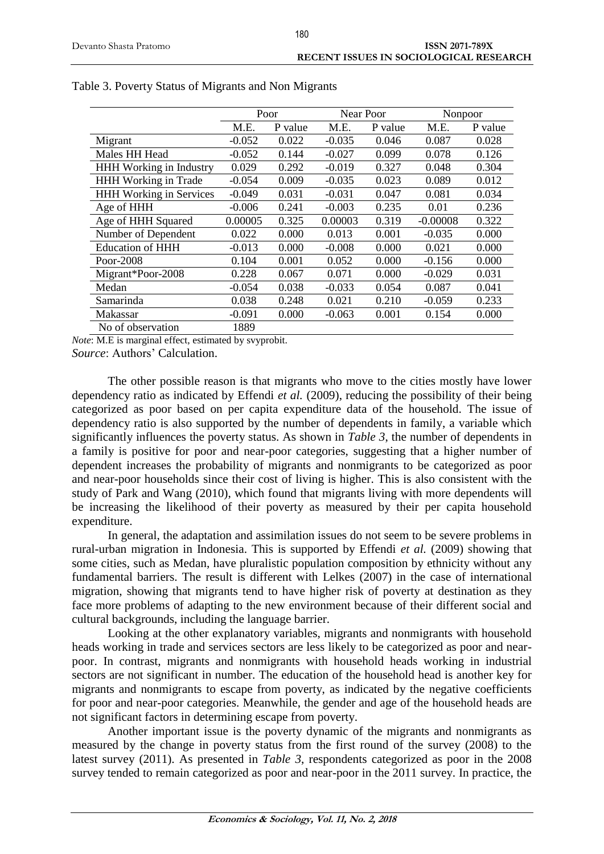|                                | Poor     |         | Near Poor |         | Nonpoor    |         |
|--------------------------------|----------|---------|-----------|---------|------------|---------|
|                                | M.E.     | P value | M.E.      | P value | M.E.       | P value |
| Migrant                        | $-0.052$ | 0.022   | $-0.035$  | 0.046   | 0.087      | 0.028   |
| Males HH Head                  | $-0.052$ | 0.144   | $-0.027$  | 0.099   | 0.078      | 0.126   |
| HHH Working in Industry        | 0.029    | 0.292   | $-0.019$  | 0.327   | 0.048      | 0.304   |
| <b>HHH Working in Trade</b>    | $-0.054$ | 0.009   | $-0.035$  | 0.023   | 0.089      | 0.012   |
| <b>HHH Working in Services</b> | $-0.049$ | 0.031   | $-0.031$  | 0.047   | 0.081      | 0.034   |
| Age of HHH                     | $-0.006$ | 0.241   | $-0.003$  | 0.235   | 0.01       | 0.236   |
| Age of HHH Squared             | 0.00005  | 0.325   | 0.00003   | 0.319   | $-0.00008$ | 0.322   |
| Number of Dependent            | 0.022    | 0.000   | 0.013     | 0.001   | $-0.035$   | 0.000   |
| <b>Education of HHH</b>        | $-0.013$ | 0.000   | $-0.008$  | 0.000   | 0.021      | 0.000   |
| Poor-2008                      | 0.104    | 0.001   | 0.052     | 0.000   | $-0.156$   | 0.000   |
| Migrant*Poor-2008              | 0.228    | 0.067   | 0.071     | 0.000   | $-0.029$   | 0.031   |
| Medan                          | $-0.054$ | 0.038   | $-0.033$  | 0.054   | 0.087      | 0.041   |
| Samarinda                      | 0.038    | 0.248   | 0.021     | 0.210   | $-0.059$   | 0.233   |
| Makassar                       | $-0.091$ | 0.000   | $-0.063$  | 0.001   | 0.154      | 0.000   |
| No of observation              | 1889     |         |           |         |            |         |

*Note*: M.E is marginal effect, estimated by svyprobit.

*Source*: Authors' Calculation.

The other possible reason is that migrants who move to the cities mostly have lower dependency ratio as indicated by Effendi *et al.* (2009), reducing the possibility of their being categorized as poor based on per capita expenditure data of the household. The issue of dependency ratio is also supported by the number of dependents in family, a variable which significantly influences the poverty status. As shown in *Table 3*, the number of dependents in a family is positive for poor and near-poor categories, suggesting that a higher number of dependent increases the probability of migrants and nonmigrants to be categorized as poor and near-poor households since their cost of living is higher. This is also consistent with the study of Park and Wang (2010), which found that migrants living with more dependents will be increasing the likelihood of their poverty as measured by their per capita household expenditure.

In general, the adaptation and assimilation issues do not seem to be severe problems in rural-urban migration in Indonesia. This is supported by Effendi *et al.* (2009) showing that some cities, such as Medan, have pluralistic population composition by ethnicity without any fundamental barriers. The result is different with Lelkes (2007) in the case of international migration, showing that migrants tend to have higher risk of poverty at destination as they face more problems of adapting to the new environment because of their different social and cultural backgrounds, including the language barrier.

Looking at the other explanatory variables, migrants and nonmigrants with household heads working in trade and services sectors are less likely to be categorized as poor and nearpoor. In contrast, migrants and nonmigrants with household heads working in industrial sectors are not significant in number. The education of the household head is another key for migrants and nonmigrants to escape from poverty, as indicated by the negative coefficients for poor and near-poor categories. Meanwhile, the gender and age of the household heads are not significant factors in determining escape from poverty.

Another important issue is the poverty dynamic of the migrants and nonmigrants as measured by the change in poverty status from the first round of the survey (2008) to the latest survey (2011). As presented in *Table 3*, respondents categorized as poor in the 2008 survey tended to remain categorized as poor and near-poor in the 2011 survey. In practice, the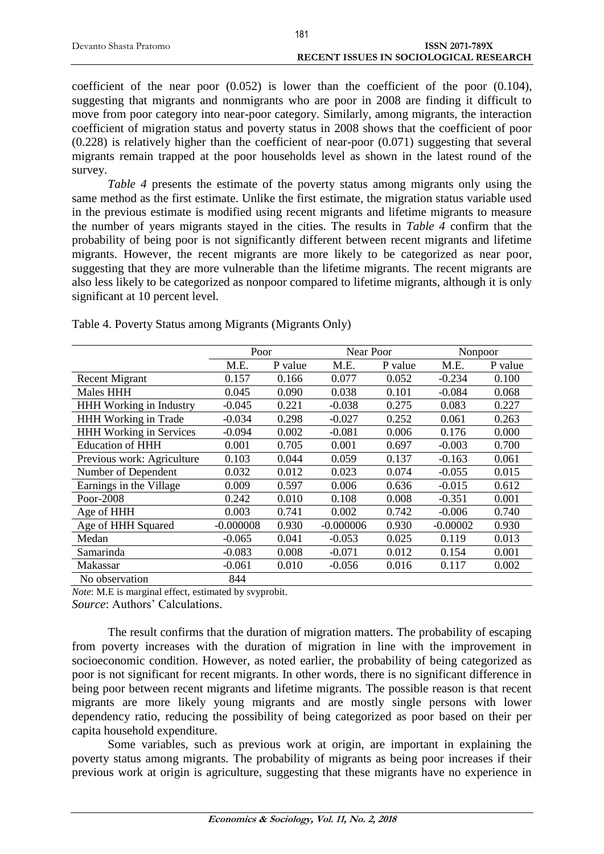coefficient of the near poor (0.052) is lower than the coefficient of the poor (0.104), suggesting that migrants and nonmigrants who are poor in 2008 are finding it difficult to move from poor category into near-poor category. Similarly, among migrants, the interaction coefficient of migration status and poverty status in 2008 shows that the coefficient of poor  $(0.228)$  is relatively higher than the coefficient of near-poor  $(0.071)$  suggesting that several migrants remain trapped at the poor households level as shown in the latest round of the survey.

*Table 4* presents the estimate of the poverty status among migrants only using the same method as the first estimate. Unlike the first estimate, the migration status variable used in the previous estimate is modified using recent migrants and lifetime migrants to measure the number of years migrants stayed in the cities. The results in *Table 4* confirm that the probability of being poor is not significantly different between recent migrants and lifetime migrants. However, the recent migrants are more likely to be categorized as near poor, suggesting that they are more vulnerable than the lifetime migrants. The recent migrants are also less likely to be categorized as nonpoor compared to lifetime migrants, although it is only significant at 10 percent level.

|                                | Poor        |         |             | Near Poor |            | Nonpoor |
|--------------------------------|-------------|---------|-------------|-----------|------------|---------|
|                                | M.E.        | P value | M.E.        | P value   | M.E.       | P value |
| <b>Recent Migrant</b>          | 0.157       | 0.166   | 0.077       | 0.052     | $-0.234$   | 0.100   |
| <b>Males HHH</b>               | 0.045       | 0.090   | 0.038       | 0.101     | $-0.084$   | 0.068   |
| <b>HHH Working in Industry</b> | $-0.045$    | 0.221   | $-0.038$    | 0.275     | 0.083      | 0.227   |
| <b>HHH Working in Trade</b>    | $-0.034$    | 0.298   | $-0.027$    | 0.252     | 0.061      | 0.263   |
| HHH Working in Services        | $-0.094$    | 0.002   | $-0.081$    | 0.006     | 0.176      | 0.000   |
| <b>Education of HHH</b>        | 0.001       | 0.705   | 0.001       | 0.697     | $-0.003$   | 0.700   |
| Previous work: Agriculture     | 0.103       | 0.044   | 0.059       | 0.137     | $-0.163$   | 0.061   |
| Number of Dependent            | 0.032       | 0.012   | 0.023       | 0.074     | $-0.055$   | 0.015   |
| Earnings in the Village        | 0.009       | 0.597   | 0.006       | 0.636     | $-0.015$   | 0.612   |
| Poor-2008                      | 0.242       | 0.010   | 0.108       | 0.008     | $-0.351$   | 0.001   |
| Age of HHH                     | 0.003       | 0.741   | 0.002       | 0.742     | $-0.006$   | 0.740   |
| Age of HHH Squared             | $-0.000008$ | 0.930   | $-0.000006$ | 0.930     | $-0.00002$ | 0.930   |
| Medan                          | $-0.065$    | 0.041   | $-0.053$    | 0.025     | 0.119      | 0.013   |
| Samarinda                      | $-0.083$    | 0.008   | $-0.071$    | 0.012     | 0.154      | 0.001   |
| Makassar                       | $-0.061$    | 0.010   | $-0.056$    | 0.016     | 0.117      | 0.002   |
| No observation                 | 844         |         |             |           |            |         |

Table 4. Poverty Status among Migrants (Migrants Only)

*Note*: M.E is marginal effect, estimated by svyprobit.

*Source*: Authors' Calculations.

The result confirms that the duration of migration matters. The probability of escaping from poverty increases with the duration of migration in line with the improvement in socioeconomic condition. However, as noted earlier, the probability of being categorized as poor is not significant for recent migrants. In other words, there is no significant difference in being poor between recent migrants and lifetime migrants. The possible reason is that recent migrants are more likely young migrants and are mostly single persons with lower dependency ratio, reducing the possibility of being categorized as poor based on their per capita household expenditure.

Some variables, such as previous work at origin, are important in explaining the poverty status among migrants. The probability of migrants as being poor increases if their previous work at origin is agriculture, suggesting that these migrants have no experience in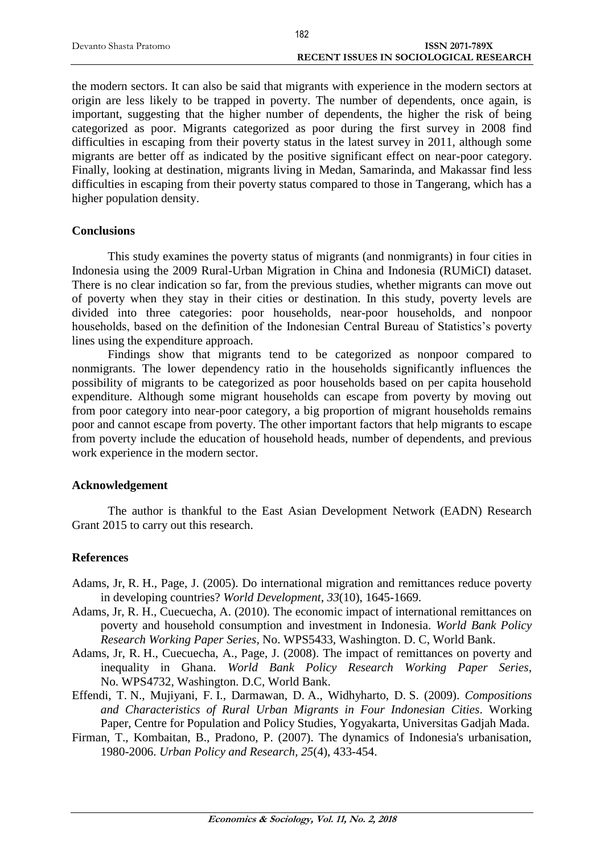|                        | 182                                    |
|------------------------|----------------------------------------|
| Devanto Shasta Pratomo | <b>ISSN 2071-789X</b>                  |
|                        | RECENT ISSUES IN SOCIOLOGICAL RESEARCH |

the modern sectors. It can also be said that migrants with experience in the modern sectors at origin are less likely to be trapped in poverty. The number of dependents, once again, is important, suggesting that the higher number of dependents, the higher the risk of being categorized as poor. Migrants categorized as poor during the first survey in 2008 find difficulties in escaping from their poverty status in the latest survey in 2011, although some migrants are better off as indicated by the positive significant effect on near-poor category. Finally, looking at destination, migrants living in Medan, Samarinda, and Makassar find less difficulties in escaping from their poverty status compared to those in Tangerang, which has a higher population density.

#### **Conclusions**

This study examines the poverty status of migrants (and nonmigrants) in four cities in Indonesia using the 2009 Rural-Urban Migration in China and Indonesia (RUMiCI) dataset. There is no clear indication so far, from the previous studies, whether migrants can move out of poverty when they stay in their cities or destination. In this study, poverty levels are divided into three categories: poor households, near-poor households, and nonpoor households, based on the definition of the Indonesian Central Bureau of Statistics's poverty lines using the expenditure approach.

Findings show that migrants tend to be categorized as nonpoor compared to nonmigrants. The lower dependency ratio in the households significantly influences the possibility of migrants to be categorized as poor households based on per capita household expenditure. Although some migrant households can escape from poverty by moving out from poor category into near-poor category, a big proportion of migrant households remains poor and cannot escape from poverty. The other important factors that help migrants to escape from poverty include the education of household heads, number of dependents, and previous work experience in the modern sector.

### **Acknowledgement**

The author is thankful to the East Asian Development Network (EADN) Research Grant 2015 to carry out this research.

### **References**

- Adams, Jr, R. H., Page, J. (2005). Do international migration and remittances reduce poverty in developing countries? *World Development*, *33*(10), 1645-1669.
- Adams, Jr, R. H., Cuecuecha, A. (2010). The economic impact of international remittances on poverty and household consumption and investment in Indonesia. *World Bank Policy Research Working Paper Series*, No. WPS5433, Washington. D. C, World Bank.
- Adams, Jr, R. H., Cuecuecha, A., Page, J. (2008). The impact of remittances on poverty and inequality in Ghana. *World Bank Policy Research Working Paper Series*, No. WPS4732, Washington. D.C, World Bank.
- Effendi, T. N., Mujiyani, F. I., Darmawan, D. A., Widhyharto, D. S. (2009). *Compositions and Characteristics of Rural Urban Migrants in Four Indonesian Cities*. Working Paper, Centre for Population and Policy Studies, Yogyakarta, Universitas Gadjah Mada.
- Firman, T., Kombaitan, B., Pradono, P. (2007). The dynamics of Indonesia's urbanisation, 1980-2006. *Urban Policy and Research*, *25*(4), 433-454.